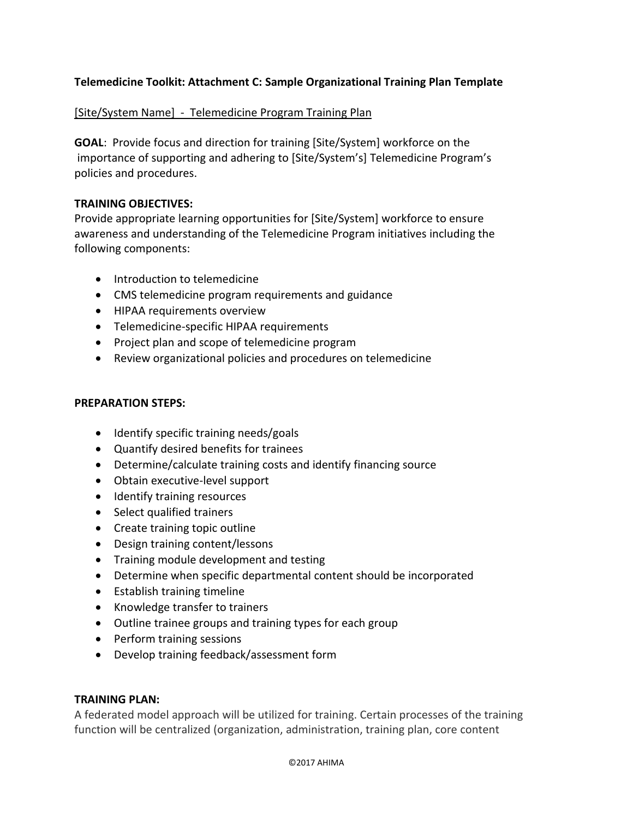# **Telemedicine Toolkit: Attachment C: Sample Organizational Training Plan Template**

## [Site/System Name] - Telemedicine Program Training Plan

**GOAL**: Provide focus and direction for training [Site/System] workforce on the importance of supporting and adhering to [Site/System's] Telemedicine Program's policies and procedures.

## **TRAINING OBJECTIVES:**

Provide appropriate learning opportunities for [Site/System] workforce to ensure awareness and understanding of the Telemedicine Program initiatives including the following components:

- Introduction to telemedicine
- CMS telemedicine program requirements and guidance
- HIPAA requirements overview
- Telemedicine-specific HIPAA requirements
- Project plan and scope of telemedicine program
- Review organizational policies and procedures on telemedicine

### **PREPARATION STEPS:**

- Identify specific training needs/goals
- Quantify desired benefits for trainees
- Determine/calculate training costs and identify financing source
- Obtain executive-level support
- Identify training resources
- Select qualified trainers
- Create training topic outline
- Design training content/lessons
- Training module development and testing
- Determine when specific departmental content should be incorporated
- Establish training timeline
- Knowledge transfer to trainers
- Outline trainee groups and training types for each group
- Perform training sessions
- Develop training feedback/assessment form

#### **TRAINING PLAN:**

A federated model approach will be utilized for training. Certain processes of the training function will be centralized (organization, administration, training plan, core content